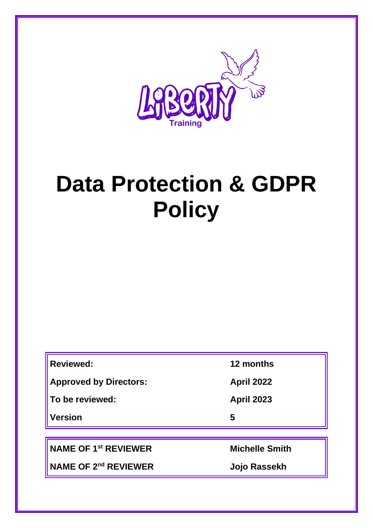

# **Data Protection & GDPR Policy**

| <b>Reviewed:</b>              | 12 months             |
|-------------------------------|-----------------------|
| <b>Approved by Directors:</b> | <b>April 2022</b>     |
| To be reviewed:               | <b>April 2023</b>     |
| Version                       | 5                     |
|                               |                       |
| <b>NAME OF 1st REVIEWER</b>   | <b>Michelle Smith</b> |

**NAME OF 2nd REVIEWER Jojo Rassekh**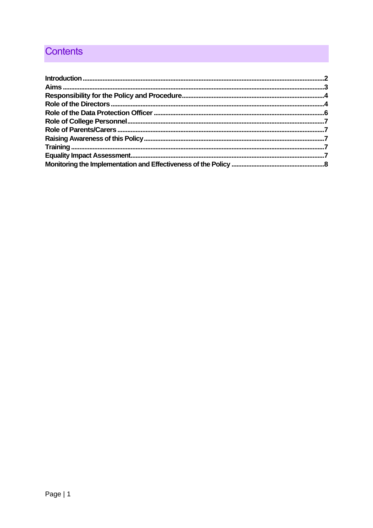# **Contents**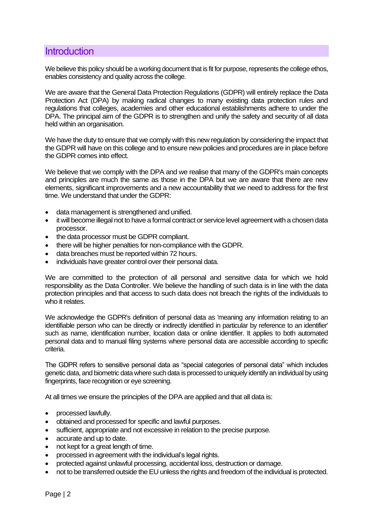## <span id="page-2-0"></span>**Introduction**

We believe this policy should be a working document that is fit for purpose, represents the college ethos, enables consistency and quality across the college.

We are aware that the General Data Protection Regulations (GDPR) will entirely replace the Data Protection Act (DPA) by making radical changes to many existing data protection rules and regulations that colleges, academies and other educational establishments adhere to under the DPA. The principal aim of the GDPR is to strengthen and unify the safety and security of all data held within an organisation.

We have the duty to ensure that we comply with this new regulation by considering the impact that the GDPR will have on this college and to ensure new policies and procedures are in place before the GDPR comes into effect.

We believe that we comply with the DPA and we realise that many of the GDPR's main concepts and principles are much the same as those in the DPA but we are aware that there are new elements, significant improvements and a new accountability that we need to address for the first time. We understand that under the GDPR:

- data management is strengthened and unified.
- it will become illegal not to have a formal contract or service level agreement with a chosen data processor.
- the data processor must be GDPR compliant.
- there will be higher penalties for non-compliance with the GDPR.
- data breaches must be reported within 72 hours.
- individuals have greater control over their personal data.

We are committed to the protection of all personal and sensitive data for which we hold responsibility as the Data Controller. We believe the handling of such data is in line with the data protection principles and that access to such data does not breach the rights of the individuals to who it relates.

We acknowledge the GDPR's definition of personal data as 'meaning any information relating to an identifiable person who can be directly or indirectly identified in particular by reference to an identifier' such as name, identification number, location data or online identifier. It applies to both automated personal data and to manual filing systems where personal data are accessible according to specific criteria.

The GDPR refers to sensitive personal data as "special categories of personal data" which includes genetic data, and biometric data where such data is processed to uniquely identify an individual by using fingerprints, face recognition or eye screening.

At all times we ensure the principles of the DPA are applied and that all data is:

- processed lawfully.
- obtained and processed for specific and lawful purposes.
- sufficient, appropriate and not excessive in relation to the precise purpose.
- accurate and up to date.
- not kept for a great length of time.
- processed in agreement with the individual's legal rights.
- protected against unlawful processing, accidental loss, destruction or damage.
- not to be transferred outside the EU unless the rights and freedom of the individual is protected.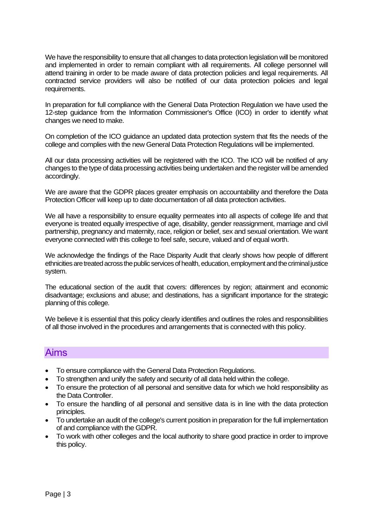We have the responsibility to ensure that all changes to data protection legislation will be monitored and implemented in order to remain compliant with all requirements. All college personnel will attend training in order to be made aware of data protection policies and legal requirements. All contracted service providers will also be notified of our data protection policies and legal requirements.

In preparation for full compliance with the General Data Protection Regulation we have used the 12-step guidance from the Information Commissioner's Office (ICO) in order to identify what changes we need to make.

On completion of the ICO guidance an updated data protection system that fits the needs of the college and complies with the new General Data Protection Regulations will be implemented.

All our data processing activities will be registered with the ICO. The ICO will be notified of any changes to the type of data processing activities being undertaken and the register will be amended accordingly.

We are aware that the GDPR places greater emphasis on accountability and therefore the Data Protection Officer will keep up to date documentation of all data protection activities.

We all have a responsibility to ensure equality permeates into all aspects of college life and that everyone is treated equally irrespective of age, disability, gender reassignment, marriage and civil partnership, pregnancy and maternity, race, religion or belief, sex and sexual orientation. We want everyone connected with this college to feel safe, secure, valued and of equal worth.

We acknowledge the findings of the Race Disparity Audit that clearly shows how people of different ethnicities are treated across the public services of health, education, employment and the criminal justice system.

The educational section of the audit that covers: differences by region; attainment and economic disadvantage; exclusions and abuse; and destinations, has a significant importance for the strategic planning of this college.

We believe it is essential that this policy clearly identifies and outlines the roles and responsibilities of all those involved in the procedures and arrangements that is connected with this policy.

## <span id="page-3-0"></span>Aims

- To ensure compliance with the General Data Protection Regulations.
- To strengthen and unify the safety and security of all data held within the college.
- To ensure the protection of all personal and sensitive data for which we hold responsibility as the Data Controller.
- To ensure the handling of all personal and sensitive data is in line with the data protection principles.
- To undertake an audit of the college's current position in preparation for the full implementation of and compliance with the GDPR.
- To work with other colleges and the local authority to share good practice in order to improve this policy.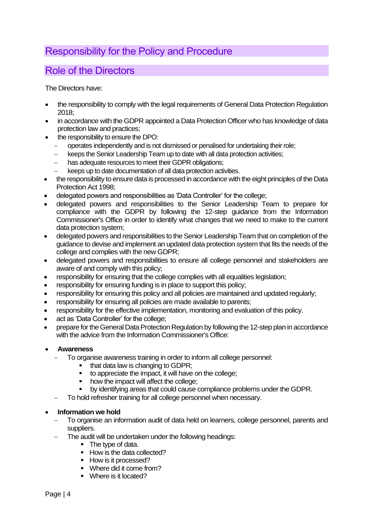# <span id="page-4-0"></span>Responsibility for the Policy and Procedure

## <span id="page-4-1"></span>Role of the Directors

The Directors have:

- the responsibility to comply with the legal requirements of General Data Protection Regulation 2018;
- in accordance with the GDPR appointed a Data Protection Officer who has knowledge of data protection law and practices;
- the responsibility to ensure the DPO:
	- − operates independently and is not dismissed or penalised for undertaking their role;
	- keeps the Senior Leadership Team up to date with all data protection activities;
	- has adequate resources to meet their GDPR obligations:
	- keeps up to date documentation of all data protection activities.
- the responsibility to ensure data is processed in accordance with the eight principles of the Data Protection Act 1998;
- delegated powers and responsibilities as 'Data Controller' for the college;
- delegated powers and responsibilities to the Senior Leadership Team to prepare for compliance with the GDPR by following the 12-step guidance from the Information Commissioner's Office in order to identify what changes that we need to make to the current data protection system;
- delegated powers and responsibilities to the Senior Leadership Team that on completion of the guidance to devise and implement an updated data protection system that fits the needs of the college and complies with the new GDPR;
- delegated powers and responsibilities to ensure all college personnel and stakeholders are aware of and comply with this policy;
- responsibility for ensuring that the college complies with all equalities legislation;
- responsibility for ensuring funding is in place to support this policy;
- responsibility for ensuring this policy and all policies are maintained and updated regularly;
- responsibility for ensuring all policies are made available to parents;
- responsibility for the effective implementation, monitoring and evaluation of this policy.
- act as 'Data Controller' for the college;
- prepare for the General Data Protection Regulation by following the 12-step plan in accordance with the advice from the Information Commissioner's Office:

#### • **Awareness**

- To organise awareness training in order to inform all college personnel:
	- that data law is changing to GDPR;
	- to appreciate the impact, it will have on the college;
	- how the impact will affect the college:
	- by identifying areas that could cause compliance problems under the GDPR.
- To hold refresher training for all college personnel when necessary.

#### • **Information we hold**

- − To organise an information audit of data held on learners, college personnel, parents and suppliers.
- The audit will be undertaken under the following headings:
	- The type of data.
	- How is the data collected?
	- How is it processed?
	- Where did it come from?
	- Where is it located?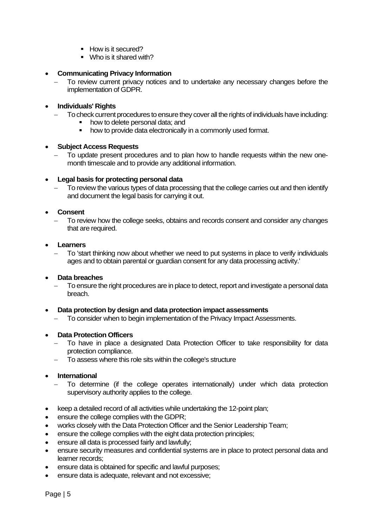- How is it secured?
- Who is it shared with?

#### • **Communicating Privacy Information**

To review current privacy notices and to undertake any necessary changes before the implementation of GDPR.

#### • **Individuals' Rights**

- − To check current procedures to ensure they cover all the rights of individuals have including:
	- how to delete personal data; and
	- how to provide data electronically in a commonly used format.

#### • **Subject Access Requests**

To update present procedures and to plan how to handle requests within the new onemonth timescale and to provide any additional information.

#### • **Legal basis for protecting personal data**

To review the various types of data processing that the college carries out and then identify and document the legal basis for carrying it out.

#### • **Consent**

To review how the college seeks, obtains and records consent and consider any changes that are required.

#### • **Learners**

− To 'start thinking now about whether we need to put systems in place to verify individuals ages and to obtain parental or guardian consent for any data processing activity.'

#### • **Data breaches**

To ensure the right procedures are in place to detect, report and investigate a personal data breach.

#### • **Data protection by design and data protection impact assessments**

To consider when to begin implementation of the Privacy Impact Assessments.

#### • **Data Protection Officers**

- To have in place a designated Data Protection Officer to take responsibility for data protection compliance.
- To assess where this role sits within the college's structure

#### • **International**

- To determine (if the college operates internationally) under which data protection supervisory authority applies to the college.
- keep a detailed record of all activities while undertaking the 12-point plan;
- ensure the college complies with the GDPR;
- works closely with the Data Protection Officer and the Senior Leadership Team;
- ensure the college complies with the eight data protection principles;
- ensure all data is processed fairly and lawfully;
- ensure security measures and confidential systems are in place to protect personal data and learner records;
- ensure data is obtained for specific and lawful purposes;
- ensure data is adequate, relevant and not excessive;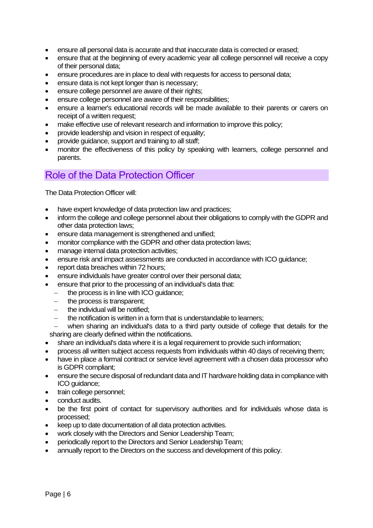- ensure all personal data is accurate and that inaccurate data is corrected or erased;
- ensure that at the beginning of every academic year all college personnel will receive a copy of their personal data;
- ensure procedures are in place to deal with requests for access to personal data;
- ensure data is not kept longer than is necessary:
- ensure college personnel are aware of their rights;
- ensure college personnel are aware of their responsibilities;
- ensure a learner's educational records will be made available to their parents or carers on receipt of a written request:
- make effective use of relevant research and information to improve this policy;
- provide leadership and vision in respect of equality;
- provide guidance, support and training to all staff;
- monitor the effectiveness of this policy by speaking with learners, college personnel and parents.

## <span id="page-6-0"></span>Role of the Data Protection Officer

The Data Protection Officer will:

- have expert knowledge of data protection law and practices;
- inform the college and college personnel about their obligations to comply with the GDPR and other data protection laws;
- ensure data management is strengthened and unified;
- monitor compliance with the GDPR and other data protection laws;
- manage internal data protection activities:
- ensure risk and impact assessments are conducted in accordance with ICO guidance;
- report data breaches within 72 hours;
- ensure individuals have greater control over their personal data;
- ensure that prior to the processing of an individual's data that:
	- − the process is in line with ICO guidance;
	- − the process is transparent;
	- the individual will be notified:
	- the notification is written in a form that is understandable to learners;

when sharing an individual's data to a third party outside of college that details for the sharing are clearly defined within the notifications.

- share an individual's data where it is a legal requirement to provide such information;
- process all written subject access requests from individuals within 40 days of receiving them;
- have in place a formal contract or service level agreement with a chosen data processor who is GDPR compliant;
- ensure the secure disposal of redundant data and IT hardware holding data in compliance with ICO guidance;
- train college personnel;
- conduct audits.
- be the first point of contact for supervisory authorities and for individuals whose data is processed;
- keep up to date documentation of all data protection activities.
- work closely with the Directors and Senior Leadership Team;
- periodically report to the Directors and Senior Leadership Team;
- annually report to the Directors on the success and development of this policy.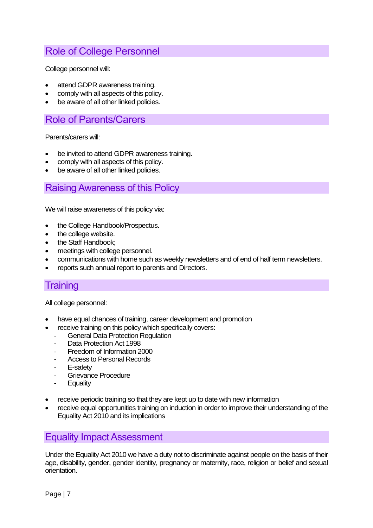# <span id="page-7-0"></span>Role of College Personnel

College personnel will:

- attend GDPR awareness training.
- comply with all aspects of this policy.
- be aware of all other linked policies.

## <span id="page-7-1"></span>Role of Parents/Carers

Parents/carers will:

- be invited to attend GDPR awareness training.
- comply with all aspects of this policy.
- be aware of all other linked policies.

## <span id="page-7-2"></span>Raising Awareness of this Policy

We will raise awareness of this policy via:

- the College Handbook/Prospectus.
- the college website.
- the Staff Handbook;
- meetings with college personnel.
- communications with home such as weekly newsletters and of end of half term newsletters.
- reports such annual report to parents and Directors.

## <span id="page-7-3"></span>**Training**

All college personnel:

- have equal chances of training, career development and promotion
- receive training on this policy which specifically covers:
- **General Data Protection Regulation**
- Data Protection Act 1998
- Freedom of Information 2000
- Access to Personal Records
- E-safety
- Grievance Procedure
- **Equality**
- receive periodic training so that they are kept up to date with new information
- receive equal opportunities training on induction in order to improve their understanding of the Equality Act 2010 and its implications

## <span id="page-7-4"></span>Equality Impact Assessment

Under the Equality Act 2010 we have a duty not to discriminate against people on the basis of their age, disability, gender, gender identity, pregnancy or maternity, race, religion or belief and sexual orientation.